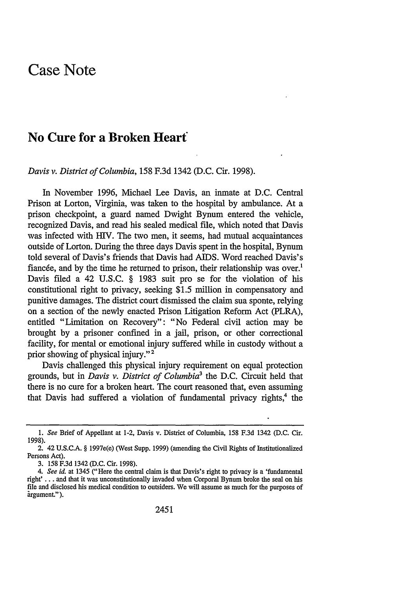## **Case Note**

## **No Cure for a Broken Heart**

*Davis v. District of Columbia,* **158 F.3d** 1342 **(D.C.** Cir. **1998).**

In November **1996,** Michael Lee Davis, an inmate at **D.C.** Central Prison at Lorton, Virginia, was taken to the hospital **by** ambulance. At a prison checkpoint, a guard named Dwight Bynum entered the vehicle, recognized Davis, and read his sealed medical file, which noted that Davis was infected with **HIV.** The two men, it seems, had mutual acquaintances outside of Lorton. During the three days Davis spent in the hospital, Bynum told several of Davis's friends that Davis had **AIDS.** Word reached Davis's fiancée, and by the time he returned to prison, their relationship was over.<sup>1</sup> Davis filed a 42 **U.S.C.** § **1983** suit pro se for the violation of his constitutional right to privacy, seeking **\$1.5** million in compensatory and punitive damages. The district court dismissed the claim sua sponte, relying on a section of the newly enacted Prison Litigation Reform Act (PLRA), entitled "Limitation on Recovery": "No Federal civil action may be brought **by** a prisoner confined in a jail, prison, or other correctional facility, for mental or emotional injury suffered while in custody without a prior showing of physical injury."<sup>2</sup>

Davis challenged this physical injury requirement on equal protection grounds, but in *Davis v. District of Columbia3* the **D.C.** Circuit held that there is no cure for a broken heart. The court reasoned that, even assuming that Davis had suffered a violation of fundamental privacy rights,<sup>4</sup> the

*<sup>1.</sup> See* Brief of Appellant at 1-2, Davis v. District of Columbia, 158 F.3d 1342 (D.C. Cir. 1998).

<sup>2. 42</sup> **U.S.C.A.** § 1997e(e) (West Supp. 1999) (amending the Civil Rights of Institutionalized Persons Act).

<sup>3. 158</sup> F.3d 1342 (D.C. Cir. 1998).

*<sup>4.</sup> See id.* at 1345 ("Here the central claim is that Davis's right to privacy is a 'fundamental right' **..** . and that it was unconstitutionally invaded when Corporal Bynum broke the seal on his file and disclosed his medical condition to outsiders. We will assume as much for the purposes of argument.").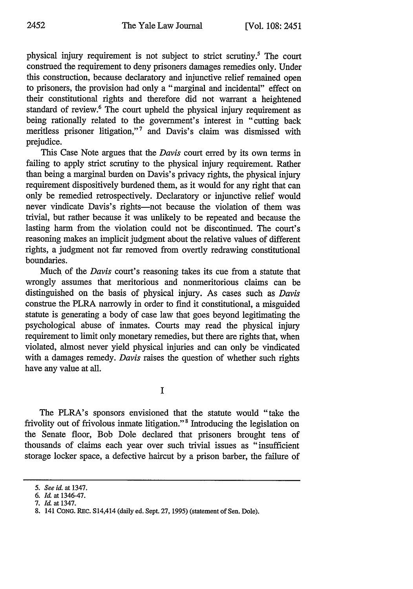physical injury requirement is not subject to strict scrutiny.' The court construed the requirement to deny prisoners damages remedies only. Under this construction, because declaratory and injunctive relief remained open to prisoners, the provision had only a "marginal and incidental" effect on their constitutional rights and therefore did not warrant a heightened standard of review.<sup>6</sup> The court upheld the physical injury requirement as being rationally related to the government's interest in "cutting back meritless prisoner litigation,"<sup>7</sup> and Davis's claim was dismissed with prejudice.

This Case Note argues that the *Davis* court erred by its own terms in failing to apply strict scrutiny to the physical injury requirement. Rather than being a marginal burden on Davis's privacy rights, the physical injury requirement dispositively burdened them, as it would for any right that can only be remedied retrospectively. Declaratory or injunctive relief would never vindicate Davis's rights-not because the violation of them was trivial, but rather because it was unlikely to be repeated and because the lasting harm from the violation could not be discontinued. The court's reasoning makes an implicit judgment about the relative values of different rights, a judgment not far removed from overtly redrawing constitutional boundaries.

Much of the *Davis* court's reasoning takes its cue from a statute that wrongly assumes that meritorious and nonmeritorious claims can be distinguished on the basis of physical injury. As cases such as *Davis* construe the PLRA narrowly in order to find it constitutional, a misguided statute is generating a body of case law that goes beyond legitimating the psychological abuse of inmates. Courts may read the physical injury requirement to limit only monetary remedies, but there are rights that, when violated, almost never yield physical injuries and can only be vindicated with a damages remedy. *Davis* raises the question of whether such rights have any value at all.

I

The PLRA's sponsors envisioned that the statute would "take the frivolity out of frivolous inmate litigation." 8 Introducing the legislation on the Senate floor, Bob Dole declared that prisoners brought tens of thousands of claims each year over such trivial issues as "insufficient storage locker space, a defective haircut by a prison barber, the failure of

*<sup>5.</sup> See id.* at 1347.

**<sup>6.</sup>** *Id.* at 1346-47.

**<sup>7.</sup>** *Id* at 1347.

<sup>8. 141</sup> CONG. REc. S14,414 (daily ed. Sept. 27, **1995)** (statement of Sen. Dole).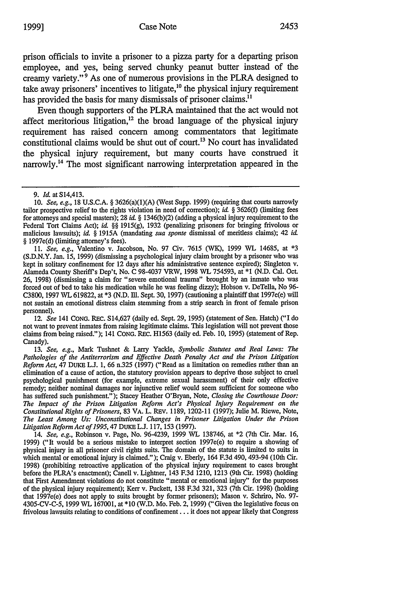employee, and yes, being served chunky peanut butter instead of the creamy variety." 9 As one of numerous provisions in the PLRA designed to take away prisoners' incentives to litigate,<sup>10</sup> the physical injury requirement has provided the basis for many dismissals of prisoner claims.<sup>11</sup>

Even though supporters of the PLRA maintained that the act would not affect meritorious litigation, $12$  the broad language of the physical injury requirement has raised concern among commentators that legitimate constitutional claims would be shut out of court.'3 No court has invalidated the physical injury requirement, but many courts have construed it narrowly.<sup>14</sup> The most significant narrowing interpretation appeared in the

11. *See, e.g.,* Valentino v. Jacobson, No. 97 Civ. 7615 (WK), 1999 WL 14685, at \*3 (S.D.N.Y. Jan. 15, 1999) (dismissing a psychological injury claim brought by a prisoner who was kept in solitary confinement for 12 days after his administrative sentence expired); Singleton v. Alameda County Sheriffs Dep't, No. C 98-4037 VRW, 1998 WL 754593, at **\*1** (N.D. Cal. Oct. 26, 1998) (dismissing a claim for "severe emotional trauma" brought by an inmate who was forced out of bed to take his medication while he was feeling dizzy); Hobson v. DeTella, No **96-** C3800, 1997 WL 619822, at \*3 (N.D. Ill. Sept. 30, 1997) (cautioning a plaintiff that 1997e(e) will not sustain an emotional distress claim stemming from a strip search in front of female prison personnel).

12. *See* 141 CoNG. REc. S14,627 (daily ed. Sept. 29, 1995) (statement of Sen. Hatch) ("I do not want to prevent inmates from raising legitimate claims. This legislation will not prevent those claims from being raised."); 141 CONG. REc. H1563 (daily ed. Feb. 10, 1995) (statement of Rep. Canady).

13. *See, e.g.,* Mark Tushnet & Larry Yackle, *Symbolic Statutes and Real Laws: The Pathologies of the Antiterrorism and Effective Death Penalty Act and the Prison Litigation Reform Act,* 47 DuKE **L.J.** 1, **66** n.325 (1997) ("Read as a limitation on remedies rather than an elimination of a cause of action, the statutory provision appears to deprive those subject to cruel psychological punishment (for example, extreme sexual harassment) of their only effective remedy; neither nominal damages nor injunctive relief would seem sufficient for someone who has suffered such punishment."); Stacey Heather O'Bryan, Note, *Closing the Courthouse Door: The Impact of the Prison Litigation Reform Act's Physical Injury Requirement on the Constitutional Rights of Prisoners,* 83 VA. L. REV. 1189, 1202-11 (1997); Julie M. Riewe, Note, *The Least Among Us: Unconstitutional Changes in Prisoner Litigation Under the Prison Litigation Reform Act of 1995,47* DUKE **L.J.** 117, 153 (1997).

14. *See, e.g.,* Robinson v. Page, No. 96-4239, 1999 WL 138746, at \*2 (7th Cir. Mar. 16, 1999) ("It would be a serious mistake to interpret section 1997e(e) to require a showing of physical injury in all prisoner civil rights suits. **The** domain of the statute is limited to suits in which mental or emotional injury is claimed."); Craig v. Eberly, 164 F.3d 490, 493-94 (10th Cir. 1998) (prohibiting retroactive application of the physical injury requirement to cases brought before the PLRA's enactment); Canell v. Lightner, 143 F.3d 1210, 1213 (9th Cir. 1998) (holding that First Amendment violations do not constitute "mental or emotional injury" for the purposes of the physical injury requirement); Kerr v. Puckett, 138 F.3d 321, 323 (7th Cir. 1998) (holding that 1997e(e) does not apply to suits brought by former prisoners); Mason v. Schriro, No. 97- 4305-CV-C-5, 1999 WL 167001, at \*10 (W.D. Mo. Feb. 2, 1999) ("Given the legislative focus on frivolous lawsuits relating to conditions of confinement... it does not appear likely that Congress

<sup>9.</sup> *Id.* at S14,413.

<sup>10.</sup> *See, e.g.,* 18 U.S.C.A. § 3626(a)(1)(A) (West Supp. 1999) (requiring that courts narrowly tailor prospective relief to the rights violation in need of correction); *id.* § 3626(f) (limiting fees for attorneys and special masters); 28 *id.* § 1346(b)(2) (adding a physical injury requirement to the Federal Tort Claims Act); *id.* §§ 1915(g), 1932 (penalizing prisoners for bringing frivolous or malicious lawsuits); *id. §* 1915A (mandating *sua sponte* dismissal of meritless claims); 42 *id.* § 1997e(d) (limiting attorney's fees).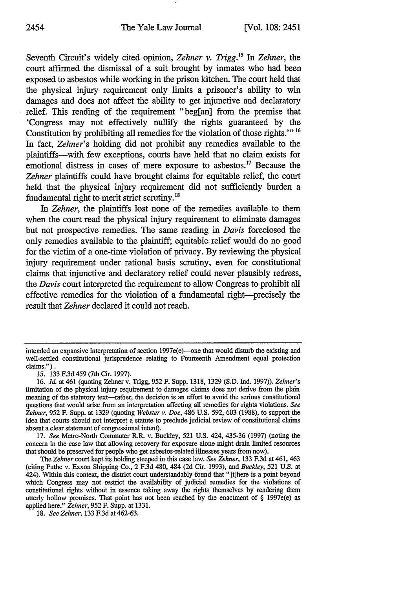Seventh Circuit's widely cited opinion, *Zehner v. Trigg. 5 In Zehner,* the court affirmed the dismissal of a suit brought by inmates who had been exposed to asbestos while working in the prison kitchen. The court held that the physical injury requirement only limits a prisoner's ability to win damages and does not affect the ability to get injunctive and declaratory relief. This reading of the requirement "beg[an] from the premise that 'Congress may not effectively nullify the rights guaranteed by the Constitution by prohibiting all remedies for the violation of those rights.'" 16 In fact, *Zehner's* holding did not prohibit any remedies available to the plaintiffs-with few exceptions, courts have held that no claim exists for emotional distress in cases of mere exposure to asbestos.<sup>17</sup> Because the *Zehner* plaintiffs could have brought claims for equitable relief, the court held that the physical injury requirement did not sufficiently burden a fundamental right to merit strict scrutiny.<sup>18</sup>

*In Zehner,* the plaintiffs lost none of the remedies available to them when the court read the physical injury requirement to eliminate damages but not prospective remedies. The same reading in *Davis* foreclosed the only remedies available to the plaintiff; equitable relief would do no good for the victim of a one-time violation of privacy. By reviewing the physical injury requirement under rational basis scrutiny, even for constitutional claims that injunctive and declaratory relief could never plausibly redress, *the Davis* court interpreted the requirement to allow Congress to prohibit all effective remedies for the violation of a fundamental right-precisely the result that *Zehner* declared it could not reach.

17. *See* Metro-North Commuter R.R. v. Buckley, 521 U.S. 424, 435-36 (1997) (noting the concern in the case law that allowing recovery for exposure alone might drain limited resources that should be preserved for people who get asbestos-related illnesses years from now).

*The Zehner* court kept its holding steeped in this case law. *See Zehner,* 133 F.3d at 461, 463 (citing Puthe v. Exxon Shipping Co., 2 F.3d 480, 484 (2d Cir. 1993), and *Buckley,* 521 U.S. at 424). Within this context, the district court understandably -found that "[t]here is a point beyond which Congress may not restrict the availability of judicial remedies for the violations of constitutional rights without in essence taking away the rights themselves by rendering them utterly hollow promises. That point has not been reached by the enactment of  $\S$  1997e(e) as applied here." *Zehner,* 952 F. Supp. at 1331.

intended an expansive interpretation of section 1997e(e)-one that would disturb the existing and well-settled constitutional jurisprudence relating to Fourteenth Amendment equal protection claims.").

<sup>15. 133</sup> F.3d459 (7th Cir. 1997).

<sup>16.</sup> *Il* at 461 (quoting Zehner v. Trigg, 952 F. Supp. 1318, 1329 (S.D. Ind. 1997)). *Zehner's* limitation of the physical injury requirement to damages claims does not derive from the plain meaning of the statutory text-rather, the decision is an effort to avoid the serious constitutional questions that would arise from an interpretation affecting all remedies for rights violations. *See Zehner,* 952 F. Supp. at 1329 (quoting *Webster v. Doe,* 486 U.S. 592, 603 (1988), to support the idea that courts should not interpret a statute to preclude judicial review of constitutional claims absent a clear statement of congressional intent).

<sup>18.</sup> *See Zehner,* 133 F.3d at 462-63.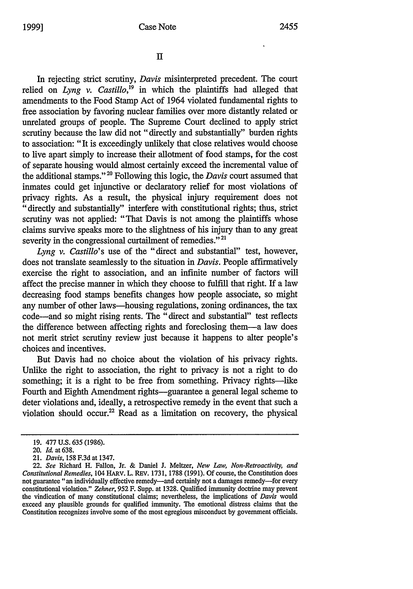$\Pi$ 

In rejecting strict scrutiny, *Davis* misinterpreted precedent. The court relied on *Lyng v. Castillo*,<sup>19</sup> in which the plaintiffs had alleged that amendments to the Food Stamp Act of 1964 violated fundamental rights to free association by favoring nuclear families over more distantly related or unrelated groups of people. The Supreme Court declined to apply strict scrutiny because the law did not "directly and substantially" burden rights to association: "It is exceedingly unlikely that close relatives would choose to live apart simply to increase their allotment of food stamps, for the cost of separate housing would almost certainly exceed the incremental value of the additional stamps."20 Following this logic, the *Davis* court assumed that inmates could get injunctive or declaratory relief for most violations of privacy rights. As a result, the physical injury requirement does not "directly and substantially" interfere with constitutional rights; thus, strict scrutiny was not applied: "That Davis is not among the plaintiffs whose claims survive speaks more to the slightness of his injury than to any great severity in the congressional curtailment of remedies."<sup>21</sup>

*Lyng v. Castillo's* use of the "direct and substantial" test, however, does not translate seamlessly to the situation in *Davis.* People affirmatively exercise the right to association, and an infinite number of factors will affect the precise manner in which they choose to fulfill that right. If a law decreasing food stamps benefits changes how people associate, so might any number of other laws-housing regulations, zoning ordinances, the tax code-and so might rising rents. The "direct and substantial" test reflects the difference between affecting rights and foreclosing them-a law does not merit strict scrutiny review just because it happens to alter people's choices and incentives.

But Davis had no choice about the violation of his privacy rights. Unlike the right to association, the right to privacy is not a right to do something; it is a right to be free from something. Privacy rights-like Fourth and Eighth Amendment rights-guarantee a general legal scheme to deter violations and, ideally, a retrospective remedy in the event that such a violation should occur.<sup>22</sup> Read as a limitation on recovery, the physical

<sup>19. 477</sup> U.S. 635 (1986).

<sup>20.</sup> *Id.* at 638.

<sup>21.</sup> *Davis,* 158 F.3d at 1347.

<sup>22.</sup> *See* Richard H. Fallon, Jr. & Daniel **J.** Meltzer, *New Law, Non-Retroactivity, and Constitutional Remedies,* 104 HARV. L. REV. 1731, 1788 (1991). Of course, the Constitution does not guarantee "an individually effective remedy—and certainly not a damages remedy—for every constitutional violation." *Zehner,* 952 F. Supp. at 1328. Qualified immunity doctrine may prevent the vindication of many constitutional claims; nevertheless, the implications of *Davis* would exceed any plausible grounds for qualified immunity. The emotional distress claims that the Constitution recognizes involve some of the most egregious misconduct by government officials.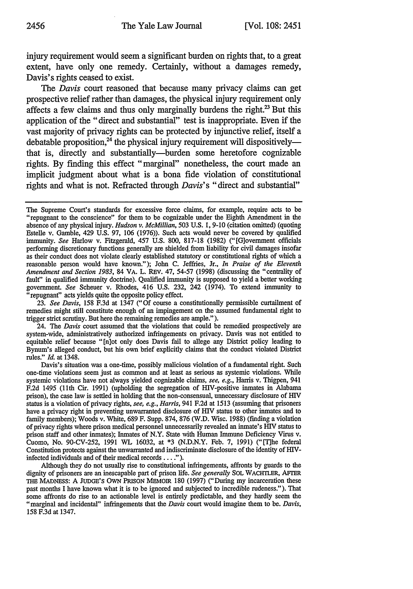injury requirement would seem a significant burden on rights that, to a great extent, have only one remedy. Certainly, without a damages remedy, Davis's rights ceased to exist.

The *Davis* court reasoned that because many privacy claims can get prospective relief rather than damages, the physical injury requirement only affects a few claims and thus only marginally burdens the right.<sup>23</sup> But this application of the "direct and substantial" test is inappropriate. Even if the vast majority of privacy rights can be protected by injunctive relief, itself a debatable proposition,<sup>24</sup> the physical injury requirement will dispositivelythat is, directly and substantially-burden some heretofore cognizable rights. By finding this effect "marginal" nonetheless, the court made an implicit judgment about what is a bona fide violation of constitutional rights and what is not. Refracted through *Davis's* "direct and substantial"

23. *See Davis,* 158 F.3d at 1347 ("Of course a constitutionally permissible curtailment of remedies might still constitute enough of an impingement on the assumed fundamental right to trigger strict scrutiny. But here the remaining remedies are ample.").

24. The *Davis* court assumed that the violations that could be remedied prospectively are system-wide, administratively authorized infringements on privacy. Davis was not entitled to equitable relief because "[n]ot only does Davis fail to allege any District policy leading to Bynum's alleged conduct, but his own brief explicitly claims that the conduct violated District rules." *Id.* at 1348.

Davis's situation was a one-time, possibly malicious violation of a fundamental right. Such one-time violations seem just as common and at least as serious as systemic violations. While systemic violations have not always yielded cognizable claims, *see, e.g.,* Harris v. Thigpen, 941 F.2d 1495 (11th Cir. 1991) (upholding the segregation of HIV-positive inmates in Alabama prison), the case law is settled in holding that the non-consensual, unnecessary disclosure of HIV status is a violation of privacy rights, *see, e.g., Harris,* 941 F.2d at 1513 (assuming that prisoners have a privacy right in preventing unwarranted disclosure of HIV status to other inmates and to family members); Woods v. White, 689 F. Supp. 874, 876 (W.D. Wisc. 1988) (finding a violation of privacy rights where prison medical personnel unnecessarily revealed an inmate's HIV status to prison staff and other inmates); Inmates of N.Y. State with Human Immune Deficiency Virus v. Cuomo, No. 90-CV-252, 1991 WL 16032, at \*3 (N.D.N.Y. Feb. 7, 1991) ("[T]he federal Constitution protects against the unwarranted and indiscriminate disclosure of the identity of HliVinfected individuals and of their medical records **.... ).**

Although they do not usually rise to constitutional infringements, affronts by guards to the dignity of prisoners are an inescapable part of prison life. *See generally* SOL WACHTLER, AFTER **THE** MADNESS: **A** JUDGE'S OWN PRISON MEMOIR 180 (1997) ("During my incarceration these past months I have known what it is to be ignored and subjected to incredible rudeness."). That some affronts do rise to an actionable level is entirely predictable, and they hardly seem the "marginal and incidental" infringements that the *Davis* court would imagine them to be. *Davis,* 158 F.3d at 1347.

The Supreme Court's standards for excessive force claims, for example, require acts to be "repugnant to the conscience" for them to be cognizable under the Eighth Amendment in the absence of any physical injury. *Hudson v. McMillian,* 503 U.S. 1, 9-10 (citation omitted) (quoting Estelle v. Gamble, 429 U.S. 97, 106 (1976)). Such acts would never be covered by qualified immunity. *See* Harlow v. Fitzgerald, 457 U.S. 800, 817-18 (1982) ("[G]ovemment officials performing discretionary functions generally are shielded from liability for civil damages insofar as their conduct does not violate clearly established statutory or constitutional rights of which a reasonable person would have known."); John C. Jeffries, Jr., *In Praise of the Eleventh Amendment and Section 1983,* 84 VA. L. REV. 47, 54-57 (1998) (discussing the "centrality of fault" in qualified immunity doctrine). Qualified immunity is supposed to yield a better working government. *See* Scheuer v. Rhodes, 416 U.S. 232, 242 (1974). To extend immunity to "repugnant" acts yields quite the opposite policy effect.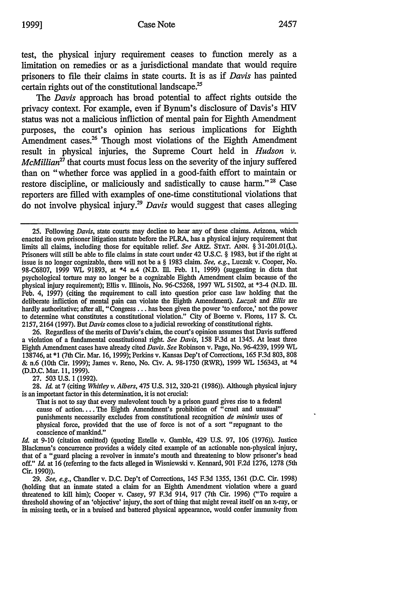test, the physical injury requirement ceases to function merely as a limitation on remedies or as a jurisdictional mandate that would require prisoners to file their claims in state courts. It is as if *Davis* has painted certain rights out of the constitutional landscape.<sup>25</sup>

The *Davis* approach has broad potential to affect rights outside the privacy context. For example, even if Bynum's disclosure of Davis's HIV status was not a malicious infliction of mental pain for Eighth Amendment purposes, the court's opinion has serious implications for Eighth Amendment cases.<sup>26</sup> Though most violations of the Eighth Amendment result in physical injuries, the Supreme Court held in *Hudson v. McMillian*<sup>27</sup> that courts must focus less on the severity of the injury suffered than on "whether force was applied in a good-faith effort to maintain or restore discipline, or maliciously and sadistically to cause harm."<sup>28</sup> Case reporters are filled with examples of one-time constitutional violations that do not involve physical injury.29 *Davis* would suggest that cases alleging

26. Regardless of the merits of Davis's claim, the court's opinion assumes that Davis suffered a violation of a fundamental constitutional right. *See Davis,* 158 F.3d at 1345. At least three Eighth Amendment cases have already cited *Davis. See* Robinson v. Page, No. 96-4239, 1999 WL 138746, at \*1 (7th Cir. Mar. 16, 1999); Perkins v. Kansas Dep't of Corrections, 165 F.3d 803, 808 & n.6 (10th Cir. 1999); James v. Reno, No. Civ. A. 98-1750 (RWR), 1999 WL 156343, at \*4 (D.D.C. Mar. 11, 1999).

27. 503 U.S. **1** (1992).

28. Id. at 7 (citing *Whitley v. Albers,* 475 U.S. 312, 320-21 (1986)). Although physical injury is an important factor in this determination, it is not crucial:

That is not to say that every malevolent touch by a prison guard gives rise to a federal cause of action.... The Eighth Amendment's prohibition of "cruel and unusual" punishments necessarily excludes from constitutional recognition *de minimis* uses of physical force, provided that the use of force is not of a sort "repugnant to the conscience of mankind."

*Id.* at 9-10 (citation omitted) (quoting Estelle v. Gamble, 429 U.S. 97, **106** (1976)). Justice Blackmun's concurrence provides a widely cited example of an actionable non-physical injury, that of a "guard placing a revolver in inmate's mouth and threatening to blow prisoner's head off." Id. at 16 (referring to the facts alleged in Wisniewsld v. Kennard, **901** F.2d 1276, 1278 (5th Cir. 1990)).

*29. See, e.g.,* Chandler v. D.C. Dep't of Corrections, 145 F.3d 1355, **1361** (D.C. Cir. 1998) (holding that an inmate stated a claim for an Eighth Amendment violation where a guard threatened to kil him); Cooper v. Casey, 97 F.3d 914, **917** (7th Cir. 1996) ("To require a threshold showing of an 'objective' injury, the sort of thing that might reveal itself on an x-ray, or in missing teeth, or in a bruised and battered physical appearance, would confer immunity from

<sup>25.</sup> Following *Davis,* state courts may decline to hear any of these claims. Arizona, which enacted its own prisoner litigation statute before the PLRA, has a physical injury requirement that limits all claims, including those for equitable relief. *See* ARIz. STAT. **ANN.** § 31-201.01(L). Prisoners will still be able to file claims in state court under 42 U.S.C. § 1983, but if the right at issue is no longer cognizable, there will not be a § 1983 claim. *See, e.g.,* Luczak v. Cooper, No. 98-C6807, 1999 WL 91893, at \*4 n.4 (N.D. Ill. Feb. 11, 1999) (suggesting in dicta that psychological torture may no longer be a cognizable Eighth Amendment claim because of the physical injury requirement); Ellis v. Illinois, No. 96-C5268, 1997 WL 51502, at \*3.4 (N.D. Ill. Feb. 4, 1997) (citing the requirement to call into question prior case law holding that the deliberate infliction of mental pain can violate the Eighth Amendment). Luczak and *Ellis* are hardly authoritative; after all, "Congress . . . has been given the power 'to enforce,' not the power to determine what constitutes a constitutional violation." City of Boerne v. Flores, 117 **S.** Ct. 2157, 2164 (1997). But *Davis* comes close to ajudicial reworking of constitutional rights.